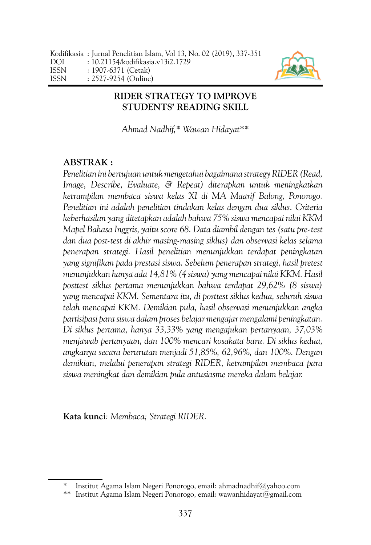

## <span id="page-0-0"></span>**RIDER STRATEGY TO IMPROVE STUDENTS' READING SKILL**

*Ahmad Nadhif,\* Wawan Hidayat\*\**

# **ABSTRAK :**

*Penelitian ini bertujuan untuk mengetahui bagaimana strategy RIDER (Read, Image, Describe, Evaluate, & Repeat) diterapkan untuk meningkatkan ketrampilan membaca siswa kelas XI di MA Maarif Balong, Ponorogo. Penelitian ini adalah penelitian tindakan kelas dengan dua siklus. Criteria keberhasilan yang ditetapkan adalah bahwa 75% siswa mencapai nilai KKM Mapel Bahasa Inggris, yaitu score 68. Data diambil dengan tes (satu pre-test dan dua post-test di akhir masing-masing siklus) dan observasi kelas selama penerapan strategi. Hasil penelitian menunjukkan terdapat peningkatan yang signifikan pada prestasi siswa. Sebelum penerapan strategi, hasil pretest menunjukkan hanya ada 14,81% (4 siswa) yang mencapai nilai KKM. Hasil posttest siklus pertama menunjukkan bahwa terdapat 29,62% (8 siswa) yang mencapai KKM. Sementara itu, di posttest siklus kedua, seluruh siswa telah mencapai KKM. Demikian pula, hasil observasi menunjukkan angka partisipasi para siswa dalam proses belajar mengajar mengalami peningkatan. Di siklus pertama, hanya 33,33% yang mengajukan pertanyaan, 37,03% menjawab pertanyaan, dan 100% mencari kosakata baru. Di siklus kedua, angkanya secara berurutan menjadi 51,85%, 62,96%, dan 100%. Dengan demikian, melalui penerapan strategi RIDER, ketrampilan membaca para siswa meningkat dan demikian pula antusiasme mereka dalam belajar.* 

**Kata kunci***: Membaca; Strategi RIDER.*

<sup>\*</sup> Institut Agama Islam Negeri Ponorogo, email: ahmadnadhif@yahoo.com

<sup>\*\*</sup> Institut Agama Islam Negeri Ponorogo, email: wawanhidayat@gmail.com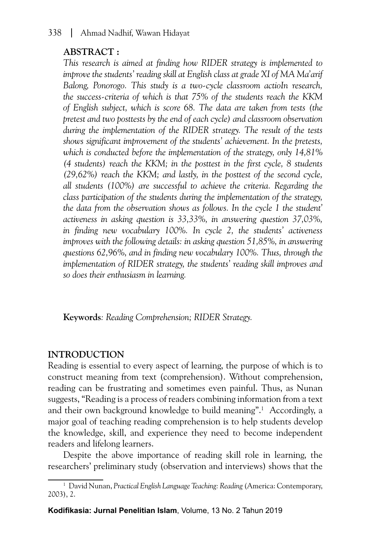# **ABSTRACT :**

*This research is aimed at finding how RIDER strategy is implemented to improve the students' reading skill at English class at grade XI of MA Ma'arif Balong, Ponorogo. This study is a two-cycle classroom actioIn research, the success-criteria of which is that 75% of the students reach the KKM of English subject, which is score 68. The data are taken from tests (the pretest and two posttests by the end of each cycle) and classroom observation during the implementation of the RIDER strategy. The result of the tests shows significant improvement of the students' achievement. In the pretests, which is conducted before the implementation of the strategy, only 14,81% (4 students) reach the KKM; in the posttest in the first cycle, 8 students (29,62%) reach the KKM; and lastly, in the posttest of the second cycle, all students (100%) are successful to achieve the criteria. Regarding the class participation of the students during the implementation of the strategy, the data from the observation shows as follows. In the cycle 1 the student' activeness in asking question is 33,33%, in answering question 37,03%, in finding new vocabulary 100%. In cycle 2, the students' activeness improves with the following details: in asking question 51,85%, in answering questions 62,96%, and in finding new vocabulary 100%. Thus, through the implementation of RIDER strategy, the students' reading skill improves and so does their enthusiasm in learning.*

**Keywords***: Reading Comprehension; RIDER Strategy.*

## **INTRODUCTION**

Reading is essential to every aspect of learning, the purpose of which is to construct meaning from text (comprehension). Without comprehension, reading can be frustrating and sometimes even painful. Thus, as Nunan suggests, "Reading is a process of readers combining information from a text and their own background knowledge to build meaning".1 Accordingly, a major goal of teaching reading comprehension is to help students develop the knowledge, skill, and experience they need to become independent readers and lifelong learners.

Despite the above importance of reading skill role in learning, the researchers' preliminary study (observation and interviews) shows that the

**Kodifikasia: Jurnal Penelitian Islam**, Volume, 13 No. 2 Tahun 2019

<sup>1</sup> David Nunan, *Practical English Language Teaching: Reading* (America: Contemporary, 2003), 2.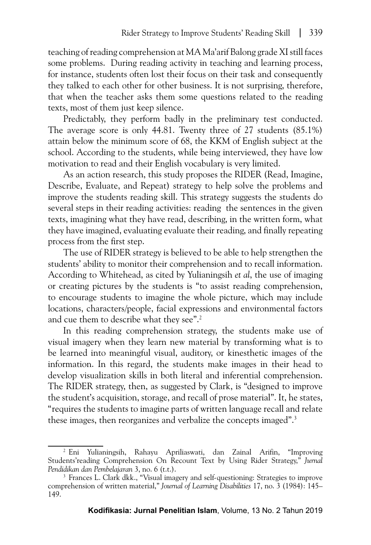teaching of reading comprehension at MA Ma'arif Balong grade XI still faces some problems. During reading activity in teaching and learning process, for instance, students often lost their focus on their task and consequently they talked to each other for other business. It is not surprising, therefore, that when the teacher asks them some questions related to the reading texts, most of them just keep silence.

Predictably, they perform badly in the preliminary test conducted. The average score is only 44.81. Twenty three of 27 students (85.1%) attain below the minimum score of 68, the KKM of English subject at the school. According to the students, while being interviewed, they have low motivation to read and their English vocabulary is very limited.

As an action research, this study proposes the RIDER (Read, Imagine, Describe, Evaluate, and Repeat) strategy to help solve the problems and improve the students reading skill. This strategy suggests the students do several steps in their reading activities: reading the sentences in the given texts, imagining what they have read, describing, in the written form, what they have imagined, evaluating evaluate their reading, and finally repeating process from the first step.

The use of RIDER strategy is believed to be able to help strengthen the students' ability to monitor their comprehension and to recall information. According to Whitehead, as cited by Yulianingsih *et al*, the use of imaging or creating pictures by the students is "to assist reading comprehension, to encourage students to imagine the whole picture, which may include locations, characters/people, facial expressions and environmental factors and cue them to describe what they see".2

In this reading comprehension strategy, the students make use of visual imagery when they learn new material by transforming what is to be learned into meaningful visual, auditory, or kinesthetic images of the information. In this regard, the students make images in their head to develop visualization skills in both literal and inferential comprehension. The RIDER strategy, then, as suggested by Clark, is "designed to improve the student's acquisition, storage, and recall of prose material". It, he states, "requires the students to imagine parts of written language recall and relate these images, then reorganizes and verbalize the concepts imaged".<sup>3</sup>

<sup>2</sup> Eni Yulianingsih, Rahayu Apriliaswati, dan Zainal Arifin, "Improving Students'reading Comprehension On Recount Text by Using Rider Strategy," *Jurnal Pendidikan dan Pembelajaran* 3, no. 6 (t.t.).

<sup>&</sup>lt;sup>3</sup> Frances L. Clark dkk., "Visual imagery and self-questioning: Strategies to improve comprehension of written material," *Journal of Learning Disabilities* 17, no. 3 (1984): 145– 149.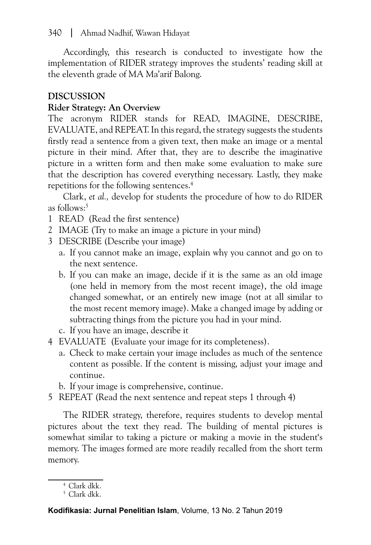Accordingly, this research is conducted to investigate how the implementation of RIDER strategy improves the students' reading skill at the eleventh grade of MA Ma'arif Balong.

## **DISCUSSION**

## **Rider Strategy: An Overview**

The acronym RIDER stands for READ, IMAGINE, DESCRIBE, EVALUATE, and REPEAT. In this regard, the strategy suggests the students firstly read a sentence from a given text, then make an image or a mental picture in their mind. After that, they are to describe the imaginative picture in a written form and then make some evaluation to make sure that the description has covered everything necessary. Lastly, they make repetitions for the following sentences.4

Clark, *et al.,* develop for students the procedure of how to do RIDER as follows:<sup>5</sup>

- 1 READ (Read the first sentence)
- 2 IMAGE (Try to make an image a picture in your mind)
- 3 DESCRIBE (Describe your image)
	- a. If you cannot make an image, explain why you cannot and go on to the next sentence.
	- b. If you can make an image, decide if it is the same as an old image (one held in memory from the most recent image), the old image changed somewhat, or an entirely new image (not at all similar to the most recent memory image). Make a changed image by adding or subtracting things from the picture you had in your mind.
	- c. If you have an image, describe it
- 4 EVALUATE (Evaluate your image for its completeness).
	- a. Check to make certain your image includes as much of the sentence content as possible. If the content is missing, adjust your image and continue.
	- b. If your image is comprehensive, continue.
- 5 REPEAT (Read the next sentence and repeat steps 1 through 4)

The RIDER strategy, therefore, requires students to develop mental pictures about the text they read. The building of mental pictures is somewhat similar to taking a picture or making a movie in the student's memory. The images formed are more readily recalled from the short term memory.

<sup>4</sup> Clark dkk.

 $5$  Clark dkk.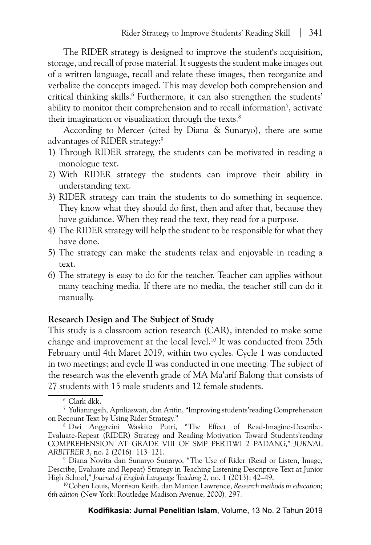The RIDER strategy is designed to improve the student's acquisition, storage, and recall of prose material. It suggests the student make images out of a written language, recall and relate these images, then reorganize and verbalize the concepts imaged. This may develop both comprehension and critical thinking skills.6 Furthermore, it can also strengthen the students' ability to monitor their comprehension and to recall information<sup>7</sup>, activate their imagination or visualization through the texts.<sup>8</sup>

According to Mercer (cited by Diana & Sunaryo), there are some advantages of RIDER strategy:9

- 1) Through RIDER strategy, the students can be motivated in reading a monologue text.
- 2) With RIDER strategy the students can improve their ability in understanding text.
- 3) RIDER strategy can train the students to do something in sequence. They know what they should do first, then and after that, because they have guidance. When they read the text, they read for a purpose.
- 4) The RIDER strategy will help the student to be responsible for what they have done.
- 5) The strategy can make the students relax and enjoyable in reading a text.
- 6) The strategy is easy to do for the teacher. Teacher can applies without many teaching media. If there are no media, the teacher still can do it manually.

#### **Research Design and The Subject of Study**

This study is a classroom action research (CAR), intended to make some change and improvement at the local level.10 It was conducted from 25th February until 4th Maret 2019, within two cycles. Cycle 1 was conducted in two meetings; and cycle II was conducted in one meeting. The subject of the research was the eleventh grade of MA Ma'arif Balong that consists of 27 students with 15 male students and 12 female students.

<sup>6</sup> Clark dkk.

<sup>7</sup> Yulianingsih, Apriliaswati, dan Arifin, "Improving students'reading Comprehension on Recount Text by Using Rider Strategy."

<sup>8</sup> Dwi Anggreini Waskito Putri, "The Effect of Read-Imagine-Describe-Evaluate-Repeat (RIDER) Strategy and Reading Motivation Toward Students'reading COMPREHENSION AT GRADE VIII OF SMP PERTIWI 2 PADANG," *JURNAL ARBITRER* 3, no. 2 (2016): 113–121.

<sup>9</sup> Diana Novita dan Sunaryo Sunaryo, "The Use of Rider (Read or Listen, Image, Describe, Evaluate and Repeat) Strategy in Teaching Listening Descriptive Text at Junior High School," *Journal of English Language Teaching* 2, no. 1 (2013): 42–49.

<sup>10</sup>Cohen Louis, Morrison Keith, dan Manion Lawrence, *Research methods in education; 6th edition* (New York: Routledge Madison Avenue, 2000), 297.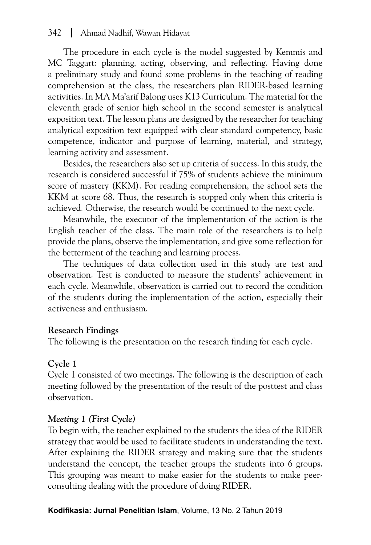## 342 [Ahmad Nadhif, Wawan Hidayat](#page-0-0)

The procedure in each cycle is the model suggested by Kemmis and MC Taggart: planning, acting, observing, and reflecting. Having done a preliminary study and found some problems in the teaching of reading comprehension at the class, the researchers plan RIDER-based learning activities. In MA Ma'arif Balong uses K13 Curriculum. The material for the eleventh grade of senior high school in the second semester is analytical exposition text. The lesson plans are designed by the researcher for teaching analytical exposition text equipped with clear standard competency, basic competence, indicator and purpose of learning, material, and strategy, learning activity and assessment.

Besides, the researchers also set up criteria of success. In this study, the research is considered successful if 75% of students achieve the minimum score of mastery (KKM). For reading comprehension, the school sets the KKM at score 68. Thus, the research is stopped only when this criteria is achieved. Otherwise, the research would be continued to the next cycle.

Meanwhile, the executor of the implementation of the action is the English teacher of the class. The main role of the researchers is to help provide the plans, observe the implementation, and give some reflection for the betterment of the teaching and learning process.

The techniques of data collection used in this study are test and observation. Test is conducted to measure the students' achievement in each cycle. Meanwhile, observation is carried out to record the condition of the students during the implementation of the action, especially their activeness and enthusiasm.

#### **Research Findings**

The following is the presentation on the research finding for each cycle.

#### **Cycle 1**

Cycle 1 consisted of two meetings. The following is the description of each meeting followed by the presentation of the result of the posttest and class observation.

#### *Meeting 1 (First Cycle)*

To begin with, the teacher explained to the students the idea of the RIDER strategy that would be used to facilitate students in understanding the text. After explaining the RIDER strategy and making sure that the students understand the concept, the teacher groups the students into 6 groups. This grouping was meant to make easier for the students to make peerconsulting dealing with the procedure of doing RIDER.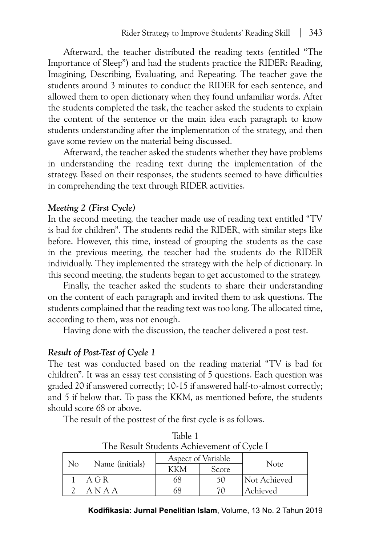Afterward, the teacher distributed the reading texts (entitled "The Importance of Sleep") and had the students practice the RIDER: Reading, Imagining, Describing, Evaluating, and Repeating. The teacher gave the students around 3 minutes to conduct the RIDER for each sentence, and allowed them to open dictionary when they found unfamiliar words. After the students completed the task, the teacher asked the students to explain the content of the sentence or the main idea each paragraph to know students understanding after the implementation of the strategy, and then gave some review on the material being discussed.

Afterward, the teacher asked the students whether they have problems in understanding the reading text during the implementation of the strategy. Based on their responses, the students seemed to have difficulties in comprehending the text through RIDER activities.

#### *Meeting 2 (First Cycle)*

In the second meeting, the teacher made use of reading text entitled "TV is bad for children". The students redid the RIDER, with similar steps like before. However, this time, instead of grouping the students as the case in the previous meeting, the teacher had the students do the RIDER individually. They implemented the strategy with the help of dictionary. In this second meeting, the students began to get accustomed to the strategy.

Finally, the teacher asked the students to share their understanding on the content of each paragraph and invited them to ask questions. The students complained that the reading text was too long. The allocated time, according to them, was not enough.

Having done with the discussion, the teacher delivered a post test.

## *Result of Post-Test of Cycle 1*

The test was conducted based on the reading material "TV is bad for children". It was an essay test consisting of 5 questions. Each question was graded 20 if answered correctly; 10-15 if answered half-to-almost correctly; and 5 if below that. To pass the KKM, as mentioned before, the students should score 68 or above.

The result of the posttest of the first cycle is as follows.

|    | The Result Students Achievement of Cycle I |                    |       |              |  |  |  |  |
|----|--------------------------------------------|--------------------|-------|--------------|--|--|--|--|
| No | Name (initials)                            | Aspect of Variable |       |              |  |  |  |  |
|    |                                            | KKM                | Score | <b>Note</b>  |  |  |  |  |
|    | A G R                                      | 68                 | 50    | Not Achieved |  |  |  |  |
|    | A N A A                                    | 68                 | 70    | Achieved     |  |  |  |  |

Table 1 The Result Students Achievement of Cycle I

**Kodifikasia: Jurnal Penelitian Islam**, Volume, 13 No. 2 Tahun 2019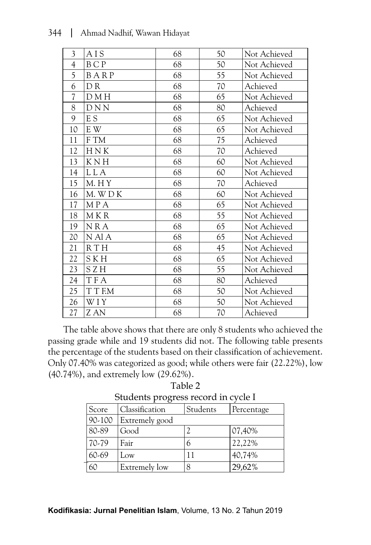| $\mathfrak{Z}$           | AIS            | 68 | 50 | Not Achieved |
|--------------------------|----------------|----|----|--------------|
| $\overline{4}$           | BCP            | 68 | 50 | Not Achieved |
| 5                        | BARP           | 68 | 55 | Not Achieved |
| 6                        | D <sub>R</sub> | 68 | 70 | Achieved     |
| $\overline{\mathcal{L}}$ | D M H          | 68 | 65 | Not Achieved |
| 8                        | <b>DNN</b>     | 68 | 80 | Achieved     |
| 9                        | E S            | 68 | 65 | Not Achieved |
| 10                       | E W            | 68 | 65 | Not Achieved |
| 11                       | F TM           | 68 | 75 | Achieved     |
| 12                       | HNK            | 68 | 70 | Achieved     |
| 13                       | <b>KNH</b>     | 68 | 60 | Not Achieved |
| 14                       | <b>LLA</b>     | 68 | 60 | Not Achieved |
| 15                       | M. HY          | 68 | 70 | Achieved     |
| 16                       | M. WDK         | 68 | 60 | Not Achieved |
| 17                       | MPA            | 68 | 65 | Not Achieved |
| 18                       | M K R          | 68 | 55 | Not Achieved |
| 19                       | <b>NRA</b>     | 68 | 65 | Not Achieved |
| 20                       | N Al A         | 68 | 65 | Not Achieved |
| 21                       | <b>RTH</b>     | 68 | 45 | Not Achieved |
| 22                       | <b>SKH</b>     | 68 | 65 | Not Achieved |
| 23                       | SZH            | 68 | 55 | Not Achieved |
| 24                       | <b>TFA</b>     | 68 | 80 | Achieved     |
| 25                       | T T F.M        | 68 | 50 | Not Achieved |
| 26                       | WIY            | 68 | 50 | Not Achieved |
| 27                       | Z AN           | 68 | 70 | Achieved     |

The table above shows that there are only 8 students who achieved the passing grade while and 19 students did not. The following table presents the percentage of the students based on their classification of achievement. Only 07.40% was categorized as good; while others were fair (22.22%), low (40.74%), and extremely low (29.62%).

|            | otaachts progress record in cycle i |          |            |  |  |  |  |
|------------|-------------------------------------|----------|------------|--|--|--|--|
| Score      | Classification                      | Students | Percentage |  |  |  |  |
| $90 - 100$ | Extremely good                      |          |            |  |  |  |  |
| 80-89      | Good                                |          | $ 07,40\%$ |  |  |  |  |
| 70-79      | Fair                                | b        | 22,22%     |  |  |  |  |
| 60-69      | Low                                 |          | 40,74%     |  |  |  |  |
| 60         | Extremely low                       | 8        | 29,62%     |  |  |  |  |

Table 2 Students progress record in cycle I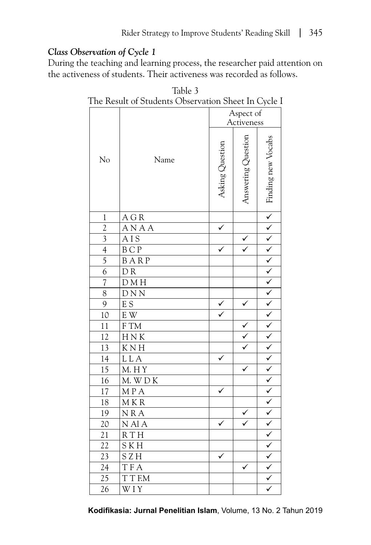# *Class Observation of Cycle 1*

During the teaching and learning process, the researcher paid attention on the activeness of students. Their activeness was recorded as follows.

| The Result of Students Observation Sheet In Cycle I |                         |                 |                    |  |  |  |
|-----------------------------------------------------|-------------------------|-----------------|--------------------|--|--|--|
|                                                     | Aspect of<br>Activeness |                 |                    |  |  |  |
| No                                                  | Name                    | Asking Question | Answering Question |  |  |  |
| $\mathbf{1}$                                        | A G R                   |                 |                    |  |  |  |
| $\overline{c}$                                      | ANAA                    |                 |                    |  |  |  |
| $\overline{\mathbf{3}}$                             | AIS                     |                 |                    |  |  |  |
| $\overline{4}$                                      | <b>BCP</b>              |                 |                    |  |  |  |
| $\overline{5}$                                      | BARP                    |                 |                    |  |  |  |
| 6                                                   | DR                      |                 |                    |  |  |  |
| $\overline{\mathcal{U}}$                            | D M H                   |                 |                    |  |  |  |
| 8                                                   | $D N N$                 |                 |                    |  |  |  |
| $\overline{9}$                                      | $\overline{E}$ S        | $\checkmark$    |                    |  |  |  |
| 10                                                  | E W                     |                 |                    |  |  |  |
| 11                                                  | ${\rm F}$ TM            |                 |                    |  |  |  |
| 12                                                  | HNK                     |                 | $\frac{1}{2}$      |  |  |  |
| $\overline{13}$                                     | $\overline{K}$ N H      |                 |                    |  |  |  |
| $\overline{14}$                                     | L L A                   |                 |                    |  |  |  |
| 15                                                  | M. HY                   |                 |                    |  |  |  |
| 16                                                  | M. WDK                  |                 |                    |  |  |  |
| 17                                                  | MPA                     |                 |                    |  |  |  |
| 18                                                  | MKR                     |                 |                    |  |  |  |
| 19                                                  | <b>NRA</b>              |                 |                    |  |  |  |
| 20                                                  | N Al A                  |                 |                    |  |  |  |
| 21                                                  | R T H                   |                 |                    |  |  |  |
| 22                                                  | <b>SKH</b>              |                 |                    |  |  |  |
| 23                                                  | SZH                     |                 |                    |  |  |  |
| 24                                                  | T F A                   |                 | ✓                  |  |  |  |
| 25                                                  | T T F.M                 |                 |                    |  |  |  |
| 26                                                  | W I Y                   |                 |                    |  |  |  |

Table 3 The Result of Students Observation Sheet In Cycle I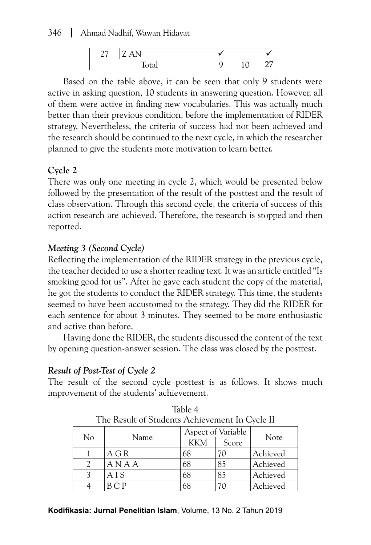346 [Ahmad Nadhif, Wawan Hidayat](#page-0-0)

| $- - -$<br>∼ |  |  |
|--------------|--|--|

Based on the table above, it can be seen that only 9 students were active in asking question, 10 students in answering question. However, all of them were active in finding new vocabularies. This was actually much better than their previous condition, before the implementation of RIDER strategy. Nevertheless, the criteria of success had not been achieved and the research should be continued to the next cycle, in which the researcher planned to give the students more motivation to learn better.

# **Cycle 2**

There was only one meeting in cycle 2, which would be presented below followed by the presentation of the result of the posttest and the result of class observation. Through this second cycle, the criteria of success of this action research are achieved. Therefore, the research is stopped and then reported.

# *Meeting 3 (Second Cycle)*

Reflecting the implementation of the RIDER strategy in the previous cycle, the teacher decided to use a shorter reading text. It was an article entitled "Is smoking good for us". After he gave each student the copy of the material, he got the students to conduct the RIDER strategy. This time, the students seemed to have been accustomed to the strategy. They did the RIDER for each sentence for about 3 minutes. They seemed to be more enthusiastic and active than before.

Having done the RIDER, the students discussed the content of the text by opening question-answer session. The class was closed by the posttest.

# *Result of Post-Test of Cycle 2*

The result of the second cycle posttest is as follows. It shows much improvement of the students' achievement.

| THE RESULT OF STUDENTS ACHIEVEMENT IN CYCLE II |       |                    |       |          |  |  |
|------------------------------------------------|-------|--------------------|-------|----------|--|--|
|                                                |       | Aspect of Variable |       |          |  |  |
| No                                             | Name  | <b>KKM</b>         | Score | Note     |  |  |
|                                                | A G R | 68                 |       | Achieved |  |  |
|                                                | ANAA  | 68                 | 85    | Achieved |  |  |
|                                                | AIS   | 68                 | 85    | Achieved |  |  |
|                                                | B C P | 68                 |       | Achieved |  |  |

| Table 4                                        |
|------------------------------------------------|
| The Result of Students Achievement In Cycle II |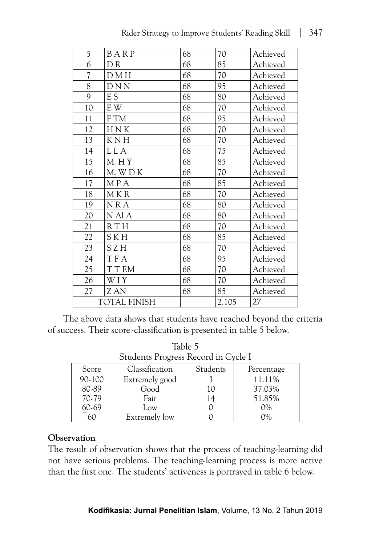| 5                        | BARP                | 68 | $70\,$ | Achieved |
|--------------------------|---------------------|----|--------|----------|
| 6                        | DR.                 | 68 | 85     | Achieved |
| $\overline{\mathcal{U}}$ | D M H               | 68 | 70     | Achieved |
| 8                        | <b>DNN</b>          | 68 | 95     | Achieved |
| 9                        | E S                 | 68 | 80     | Achieved |
| 10                       | E W                 | 68 | 70     | Achieved |
| 11                       | F TM                | 68 | 95     | Achieved |
| 12                       | HNK                 | 68 | 70     | Achieved |
| 13                       | <b>KNH</b>          | 68 | 70     | Achieved |
| 14                       | L L A               | 68 | 75     | Achieved |
| 15                       | M. HY               | 68 | 85     | Achieved |
| 16                       | M. WDK              | 68 | 70     | Achieved |
| 17                       | MPA                 | 68 | 85     | Achieved |
| 18                       | M K R               | 68 | 70     | Achieved |
| 19                       | NRA                 | 68 | 80     | Achieved |
| 20                       | N Al A              | 68 | 80     | Achieved |
| 21                       | RTH                 | 68 | 70     | Achieved |
| 22                       | <b>SKH</b>          | 68 | 85     | Achieved |
| 23                       | SZH                 | 68 | 70     | Achieved |
| 24                       | TFA                 | 68 | 95     | Achieved |
| 25                       | T T F.M             | 68 | 70     | Achieved |
| 26                       | WIY                 | 68 | 70     | Achieved |
| 27                       | Z AN                | 68 | 85     | Achieved |
|                          | <b>TOTAL FINISH</b> |    | 2.105  | 27       |

The above data shows that students have reached beyond the criteria of success. Their score-classification is presented in table 5 below.

| Students Progress Record in Cycle I |                |          |            |  |  |
|-------------------------------------|----------------|----------|------------|--|--|
| Score                               | Classification | Students | Percentage |  |  |
| 90-100                              | Extremely good |          | 11.11%     |  |  |
| 80-89                               | Good           | 10       | 37.03%     |  |  |
| 70-79                               | Fair           | 14       | 51.85%     |  |  |
| 60-69                               | Low            |          | $0\%$      |  |  |
|                                     | Extremely low  |          | $0\%$      |  |  |

| Table 5                             |  |
|-------------------------------------|--|
| Students Progress Record in Cycle I |  |
|                                     |  |

## **Observation**

The result of observation shows that the process of teaching-learning did not have serious problems. The teaching-learning process is more active than the first one. The students' activeness is portrayed in table 6 below.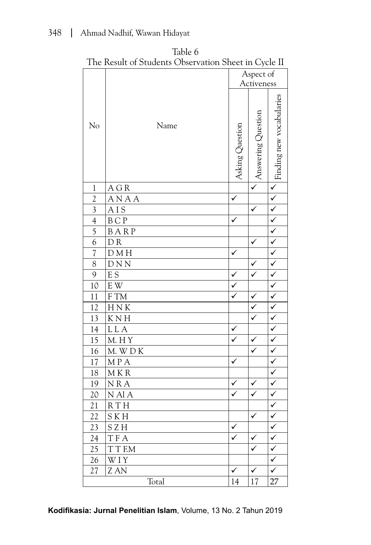|                | The Ixesuit of Otaachts Observation oncet in Oyele II |                 |                         |                          |
|----------------|-------------------------------------------------------|-----------------|-------------------------|--------------------------|
|                |                                                       |                 | Aspect of<br>Activeness |                          |
| No             | Name                                                  | Asking Question | Answering Question      | Finding new vocabularies |
| $\mathbf{1}$   | A G R                                                 |                 |                         | $\overline{\checkmark}$  |
| $\overline{2}$ | ANAA                                                  | ✓               |                         | $\checkmark$             |
| $\mathfrak{Z}$ | AIS                                                   |                 | ✓                       | $\checkmark$             |
| $\overline{4}$ | $\operatorname{B}$ C $\operatorname{P}$               | ✓               |                         | $\overline{\checkmark}$  |
| $\overline{5}$ | BARP                                                  |                 |                         | $\checkmark$             |
| $\overline{6}$ | DR                                                    |                 | ✓                       | $\checkmark$             |
| $\sqrt{ }$     | DMH                                                   | ✓               |                         | $\overline{\checkmark}$  |
| 8              | DNN                                                   |                 | ✓                       | $\checkmark$             |
| 9              | E S                                                   | $\checkmark$    | $\checkmark$            | $\checkmark$             |
| 10             | $\mathbf{E} \ \mathbf{W}$                             | $\checkmark$    |                         | $\checkmark$             |
| 11             | ${\rm F}$ TM                                          | ✓               | $\checkmark$            | $\checkmark$             |
| 12             | ${\rm H\,N\,K}$                                       |                 | $\checkmark$            | $\checkmark$             |
| 13             | K N H                                                 |                 | $\overline{\checkmark}$ | $\checkmark$             |
| 14             | <b>LLA</b>                                            | ✓               |                         | $\checkmark$             |
| 15             | M. HY                                                 |                 | $\checkmark$            | $\overline{\checkmark}$  |
| 16             | $M.$ W $D K$                                          |                 | $\checkmark$            | $\checkmark$             |
| 17             | MPA                                                   | ✓               |                         | $\checkmark$             |
| 18             | MKR                                                   |                 |                         | $\overline{\checkmark}$  |
| 19             | NRA                                                   | ✓               | ✓                       | $\checkmark$             |
| $20\,$         | N Al A                                                | $\checkmark$    | $\checkmark$            | $\checkmark$             |
| 21             | <b>RTH</b>                                            |                 |                         | $\overline{\checkmark}$  |
| 22             | S K H                                                 |                 | ✓                       | ✓                        |
| 23             | SZH                                                   | $\checkmark$    |                         | ✓                        |
| 24             | <b>TFA</b>                                            | $\checkmark$    | $\checkmark$            | $\checkmark$             |
| 25             | T T F.M                                               |                 | $\checkmark$            | $\checkmark$             |
| 26             | WIY                                                   |                 |                         | $\checkmark$             |
| 27             | Z AN                                                  | $\checkmark$    | ✓                       | $\checkmark$             |
|                | Total                                                 | 14              | 17                      | 27                       |

Table 6 The Result of Students Observation Sheet in Cycle II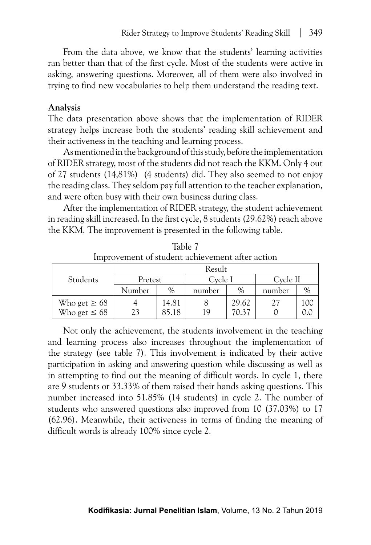From the data above, we know that the students' learning activities ran better than that of the first cycle. Most of the students were active in asking, answering questions. Moreover, all of them were also involved in trying to find new vocabularies to help them understand the reading text.

#### **Analysis**

The data presentation above shows that the implementation of RIDER strategy helps increase both the students' reading skill achievement and their activeness in the teaching and learning process.

As mentioned in the background of this study, before the implementation of RIDER strategy, most of the students did not reach the KKM. Only 4 out of 27 students (14,81%) (4 students) did. They also seemed to not enjoy the reading class. They seldom pay full attention to the teacher explanation, and were often busy with their own business during class.

After the implementation of RIDER strategy, the student achievement in reading skill increased. In the first cycle, 8 students (29.62%) reach above the KKM. The improvement is presented in the following table.

|                   |         |       | Result  |       |          |      |  |
|-------------------|---------|-------|---------|-------|----------|------|--|
| Students          | Pretest |       | Cycle I |       | Cycle II |      |  |
|                   | Number  | $\%$  | number  | $\%$  | number   | $\%$ |  |
| Who get $\geq 68$ |         | 14.81 |         | 29.62 | 27       | 10C  |  |
| Who get $\leq 68$ |         | 85.18 | 1 Q     | 70.37 |          |      |  |

Table 7 Improvement of student achievement after action

Not only the achievement, the students involvement in the teaching and learning process also increases throughout the implementation of the strategy (see table 7). This involvement is indicated by their active participation in asking and answering question while discussing as well as in attempting to find out the meaning of difficult words. In cycle 1, there are 9 students or 33.33% of them raised their hands asking questions. This number increased into 51.85% (14 students) in cycle 2. The number of students who answered questions also improved from 10 (37.03%) to 17 (62.96). Meanwhile, their activeness in terms of finding the meaning of difficult words is already 100% since cycle 2.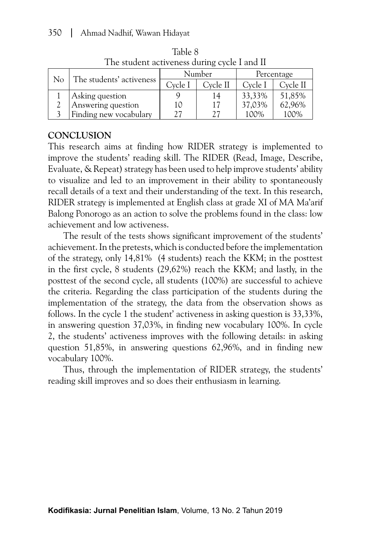| The statistic abilities authing systematic in |                          |         |          |            |          |
|-----------------------------------------------|--------------------------|---------|----------|------------|----------|
| No                                            | The students' activeness | Number  |          | Percentage |          |
|                                               |                          | Cvcle I | Cycle II | Cycle I    | Cycle II |
|                                               | Asking question          |         | 14       | 33,33%     | 51,85%   |
|                                               | Answering question       | 10      | 17       | 37,03%     | 62,96%   |
|                                               | Finding new vocabulary   |         |          | 100%       | 100%     |

Table 8 The student activeness during cycle I and II

# **CONCLUSION**

This research aims at finding how RIDER strategy is implemented to improve the students' reading skill. The RIDER (Read, Image, Describe, Evaluate, & Repeat) strategy has been used to help improve students' ability to visualize and led to an improvement in their ability to spontaneously recall details of a text and their understanding of the text. In this research, RIDER strategy is implemented at English class at grade XI of MA Ma'arif Balong Ponorogo as an action to solve the problems found in the class: low achievement and low activeness.

The result of the tests shows significant improvement of the students' achievement. In the pretests, which is conducted before the implementation of the strategy, only 14,81% (4 students) reach the KKM; in the posttest in the first cycle, 8 students (29,62%) reach the KKM; and lastly, in the posttest of the second cycle, all students (100%) are successful to achieve the criteria. Regarding the class participation of the students during the implementation of the strategy, the data from the observation shows as follows. In the cycle 1 the student' activeness in asking question is 33,33%, in answering question 37,03%, in finding new vocabulary 100%. In cycle 2, the students' activeness improves with the following details: in asking question 51,85%, in answering questions 62,96%, and in finding new vocabulary 100%.

Thus, through the implementation of RIDER strategy, the students' reading skill improves and so does their enthusiasm in learning.